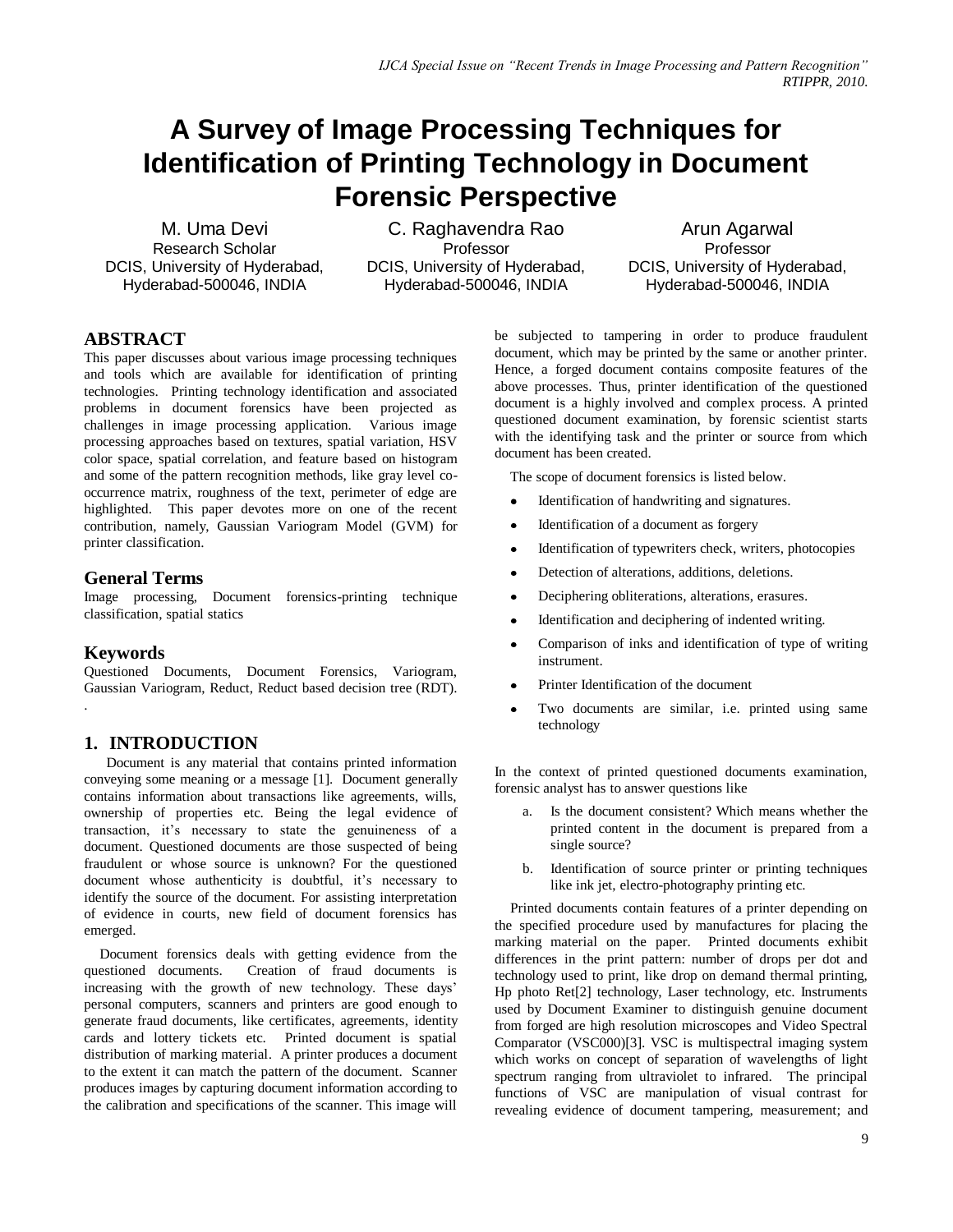# **A Survey of Image Processing Techniques for Identification of Printing Technology in Document Forensic Perspective**

M. Uma Devi Research Scholar DCIS, University of Hyderabad, Hyderabad-500046, INDIA

C. Raghavendra Rao **Professor** DCIS, University of Hyderabad, Hyderabad-500046, INDIA

Arun Agarwal Professor DCIS, University of Hyderabad, Hyderabad-500046, INDIA

## **ABSTRACT**

This paper discusses about various image processing techniques and tools which are available for identification of printing technologies. Printing technology identification and associated problems in document forensics have been projected as challenges in image processing application. Various image processing approaches based on textures, spatial variation, HSV color space, spatial correlation, and feature based on histogram and some of the pattern recognition methods, like gray level cooccurrence matrix, roughness of the text, perimeter of edge are highlighted. This paper devotes more on one of the recent contribution, namely, Gaussian Variogram Model (GVM) for printer classification.

## **General Terms**

Image processing, Document forensics-printing technique classification, spatial statics

# **Keywords**

.

Questioned Documents, Document Forensics, Variogram, Gaussian Variogram, Reduct, Reduct based decision tree (RDT).

# **1. INTRODUCTION**

 Document is any material that contains printed information conveying some meaning or a message [1]. Document generally contains information about transactions like agreements, wills, ownership of properties etc. Being the legal evidence of transaction, it"s necessary to state the genuineness of a document. Questioned documents are those suspected of being fraudulent or whose source is unknown? For the questioned document whose authenticity is doubtful, it's necessary to identify the source of the document. For assisting interpretation of evidence in courts, new field of document forensics has emerged.

Document forensics deals with getting evidence from the questioned documents. Creation of fraud documents is increasing with the growth of new technology. These days' personal computers, scanners and printers are good enough to generate fraud documents, like certificates, agreements, identity cards and lottery tickets etc. Printed document is spatial distribution of marking material. A printer produces a document to the extent it can match the pattern of the document. Scanner produces images by capturing document information according to the calibration and specifications of the scanner. This image will

be subjected to tampering in order to produce fraudulent document, which may be printed by the same or another printer. Hence, a forged document contains composite features of the above processes. Thus, printer identification of the questioned document is a highly involved and complex process. A printed questioned document examination, by forensic scientist starts with the identifying task and the printer or source from which document has been created.

The scope of document forensics is listed below.

- Identification of handwriting and signatures.
- Identification of a document as forgery
- Identification of typewriters check, writers, photocopies
- Detection of alterations, additions, deletions.
- Deciphering obliterations, alterations, erasures.
- Identification and deciphering of indented writing.
- Comparison of inks and identification of type of writing instrument.
- Printer Identification of the document
- Two documents are similar, i.e. printed using same technology

In the context of printed questioned documents examination, forensic analyst has to answer questions like

- a. Is the document consistent? Which means whether the printed content in the document is prepared from a single source?
- b. Identification of source printer or printing techniques like ink jet, electro-photography printing etc.

Printed documents contain features of a printer depending on the specified procedure used by manufactures for placing the marking material on the paper. Printed documents exhibit differences in the print pattern: number of drops per dot and technology used to print, like drop on demand thermal printing, Hp photo Ret[2] technology, Laser technology, etc. Instruments used by Document Examiner to distinguish genuine document from forged are high resolution microscopes and Video Spectral Comparator (VSC000)[3]. VSC is multispectral imaging system which works on concept of separation of wavelengths of light spectrum ranging from ultraviolet to infrared. The principal functions of VSC are manipulation of visual contrast for revealing evidence of document tampering, measurement; and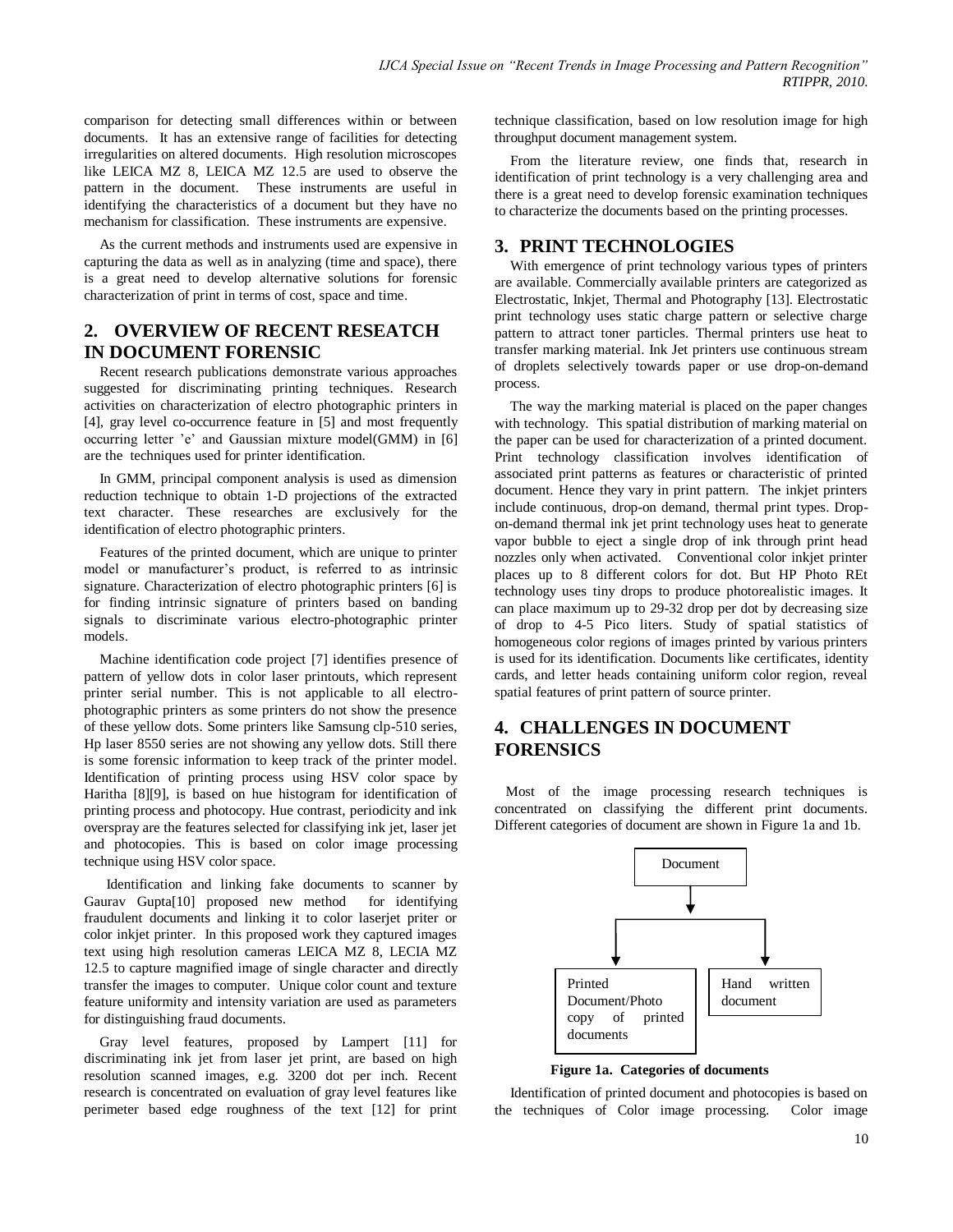comparison for detecting small differences within or between documents. It has an extensive range of facilities for detecting irregularities on altered documents. High resolution microscopes like LEICA MZ 8, LEICA MZ 12.5 are used to observe the pattern in the document. These instruments are useful in identifying the characteristics of a document but they have no mechanism for classification. These instruments are expensive.

As the current methods and instruments used are expensive in capturing the data as well as in analyzing (time and space), there is a great need to develop alternative solutions for forensic characterization of print in terms of cost, space and time.

## **2. OVERVIEW OF RECENT RESEATCH IN DOCUMENT FORENSIC**

Recent research publications demonstrate various approaches suggested for discriminating printing techniques. Research activities on characterization of electro photographic printers in [4], gray level co-occurrence feature in [5] and most frequently occurring letter "e" and Gaussian mixture model(GMM) in [6] are the techniques used for printer identification.

In GMM, principal component analysis is used as dimension reduction technique to obtain 1-D projections of the extracted text character. These researches are exclusively for the identification of electro photographic printers.

Features of the printed document, which are unique to printer model or manufacturer's product, is referred to as intrinsic signature. Characterization of electro photographic printers [6] is for finding intrinsic signature of printers based on banding signals to discriminate various electro-photographic printer models.

Machine identification code project [7] identifies presence of pattern of yellow dots in color laser printouts, which represent printer serial number. This is not applicable to all electrophotographic printers as some printers do not show the presence of these yellow dots. Some printers like Samsung clp-510 series, Hp laser 8550 series are not showing any yellow dots. Still there is some forensic information to keep track of the printer model. Identification of printing process using HSV color space by Haritha [8][9], is based on hue histogram for identification of printing process and photocopy. Hue contrast, periodicity and ink overspray are the features selected for classifying ink jet, laser jet and photocopies. This is based on color image processing technique using HSV color space.

 Identification and linking fake documents to scanner by Gaurav Gupta[10] proposed new method for identifying fraudulent documents and linking it to color laserjet priter or color inkjet printer. In this proposed work they captured images text using high resolution cameras LEICA MZ 8, LECIA MZ 12.5 to capture magnified image of single character and directly transfer the images to computer. Unique color count and texture feature uniformity and intensity variation are used as parameters for distinguishing fraud documents.

Gray level features, proposed by Lampert [11] for discriminating ink jet from laser jet print, are based on high resolution scanned images, e.g. 3200 dot per inch. Recent research is concentrated on evaluation of gray level features like perimeter based edge roughness of the text [12] for print

technique classification, based on low resolution image for high throughput document management system.

From the literature review, one finds that, research in identification of print technology is a very challenging area and there is a great need to develop forensic examination techniques to characterize the documents based on the printing processes.

## **3. PRINT TECHNOLOGIES**

With emergence of print technology various types of printers are available. Commercially available printers are categorized as Electrostatic, Inkjet, Thermal and Photography [13]. Electrostatic print technology uses static charge pattern or selective charge pattern to attract toner particles. Thermal printers use heat to transfer marking material. Ink Jet printers use continuous stream of droplets selectively towards paper or use drop-on-demand process.

The way the marking material is placed on the paper changes with technology. This spatial distribution of marking material on the paper can be used for characterization of a printed document. Print technology classification involves identification of associated print patterns as features or characteristic of printed document. Hence they vary in print pattern. The inkjet printers include continuous, drop-on demand, thermal print types. Dropon-demand thermal ink jet print technology uses heat to generate vapor bubble to eject a single drop of ink through print head nozzles only when activated. Conventional color inkjet printer places up to 8 different colors for dot. But HP Photo REt technology uses tiny drops to produce photorealistic images. It can place maximum up to 29-32 drop per dot by decreasing size of drop to 4-5 Pico liters. Study of spatial statistics of homogeneous color regions of images printed by various printers is used for its identification. Documents like certificates, identity cards, and letter heads containing uniform color region, reveal spatial features of print pattern of source printer.

# **4. CHALLENGES IN DOCUMENT FORENSICS**

 Most of the image processing research techniques is concentrated on classifying the different print documents. Different categories of document are shown in Figure 1a and 1b.



**Figure 1a. Categories of documents**

Identification of printed document and photocopies is based on the techniques of Color image processing. Color image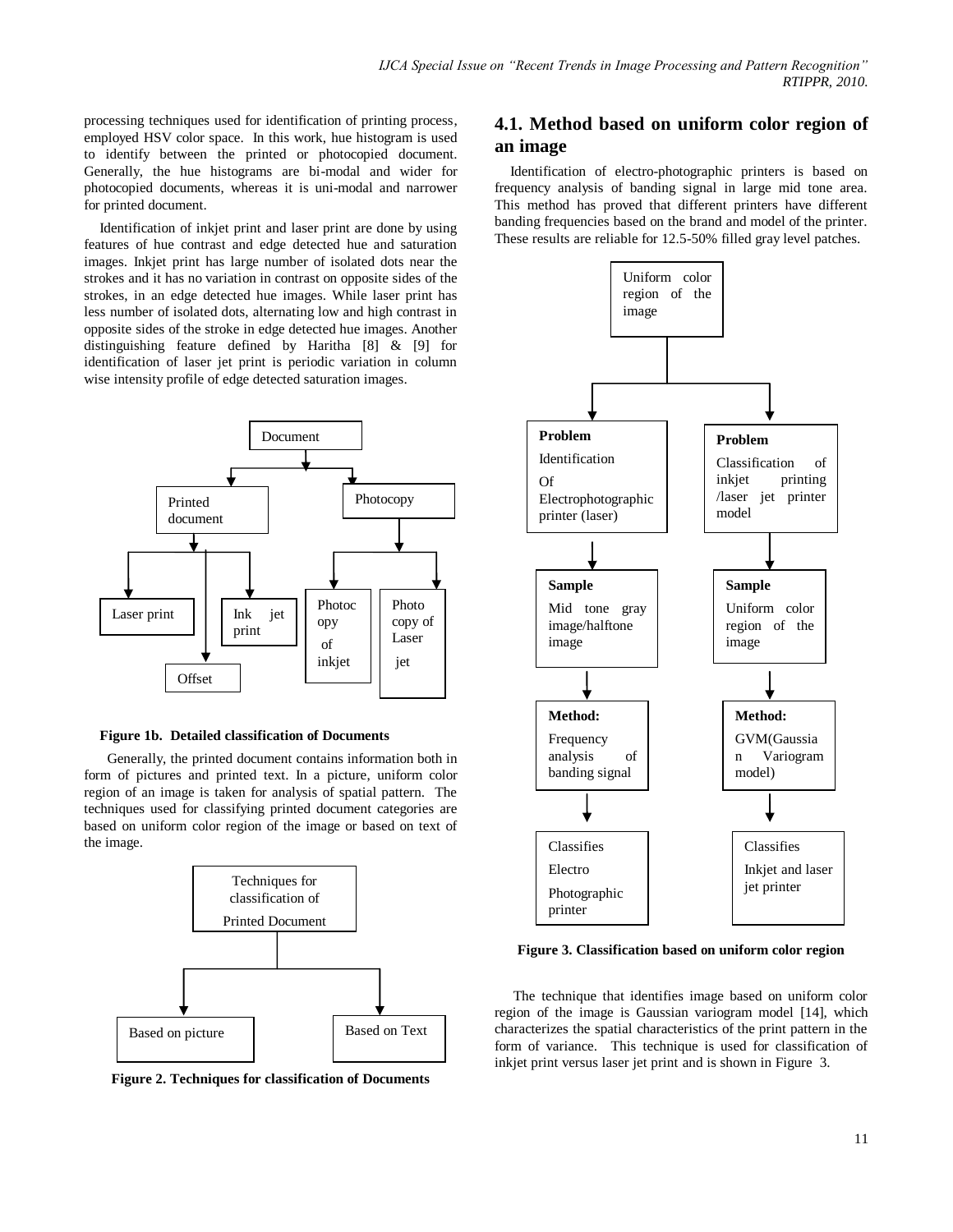processing techniques used for identification of printing process, employed HSV color space. In this work, hue histogram is used to identify between the printed or photocopied document. Generally, the hue histograms are bi-modal and wider for photocopied documents, whereas it is uni-modal and narrower for printed document.

Identification of inkjet print and laser print are done by using features of hue contrast and edge detected hue and saturation images. Inkjet print has large number of isolated dots near the strokes and it has no variation in contrast on opposite sides of the strokes, in an edge detected hue images. While laser print has less number of isolated dots, alternating low and high contrast in opposite sides of the stroke in edge detected hue images. Another distinguishing feature defined by Haritha [8] & [9] for identification of laser jet print is periodic variation in column wise intensity profile of edge detected saturation images.



#### **Figure 1b. Detailed classification of Documents**

 Generally, the printed document contains information both in form of pictures and printed text. In a picture, uniform color region of an image is taken for analysis of spatial pattern. The techniques used for classifying printed document categories are based on uniform color region of the image or based on text of the image.



**Figure 2. Techniques for classification of Documents**

## **4.1. Method based on uniform color region of an image**

Identification of electro-photographic printers is based on frequency analysis of banding signal in large mid tone area. This method has proved that different printers have different banding frequencies based on the brand and model of the printer. These results are reliable for 12.5-50% filled gray level patches.



**Figure 3. Classification based on uniform color region**

The technique that identifies image based on uniform color region of the image is Gaussian variogram model [14], which characterizes the spatial characteristics of the print pattern in the form of variance. This technique is used for classification of inkjet print versus laser jet print and is shown in Figure 3.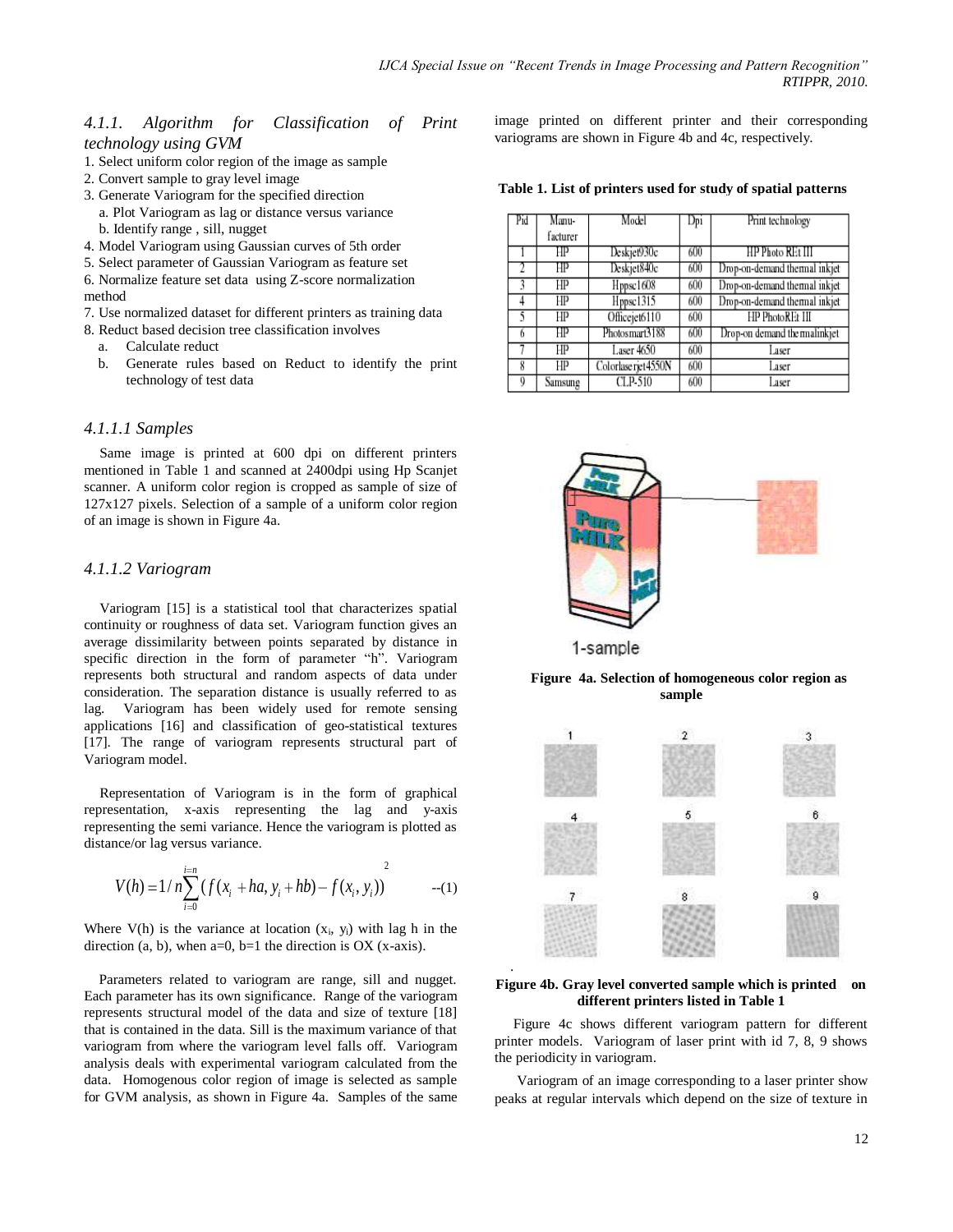### *4.1.1. Algorithm for Classification of Print technology using GVM*

- 1. Select uniform color region of the image as sample
- 2. Convert sample to gray level image
- 3. Generate Variogram for the specified direction
	- a. Plot Variogram as lag or distance versus variance b. Identify range , sill, nugget
- 4. Model Variogram using Gaussian curves of 5th order
- 5. Select parameter of Gaussian Variogram as feature set

6. Normalize feature set data using Z-score normalization method

- 7. Use normalized dataset for different printers as training data
- 8. Reduct based decision tree classification involves
	- a. Calculate reduct
	- b. Generate rules based on Reduct to identify the print technology of test data

#### *4.1.1.1 Samples*

Same image is printed at 600 dpi on different printers mentioned in Table 1 and scanned at 2400dpi using Hp Scanjet scanner. A uniform color region is cropped as sample of size of 127x127 pixels. Selection of a sample of a uniform color region of an image is shown in Figure 4a.

#### *4.1.1.2 Variogram*

Variogram [15] is a statistical tool that characterizes spatial continuity or roughness of data set. Variogram function gives an average dissimilarity between points separated by distance in specific direction in the form of parameter "h". Variogram represents both structural and random aspects of data under consideration. The separation distance is usually referred to as lag. Variogram has been widely used for remote sensing applications [16] and classification of geo-statistical textures [17]. The range of variogram represents structural part of Variogram model.

Representation of Variogram is in the form of graphical representation, x-axis representing the lag and y-axis representing the semi variance. Hence the variogram is plotted as distance/or lag versus variance.

$$
V(h) = 1/n \sum_{i=0}^{i=n} (f(x_i + ha, y_i + hb) - f(x_i, y_i))^{2}
$$
 --(1)

Where  $V(h)$  is the variance at location  $(x_i, y_i)$  with lag h in the direction (a, b), when  $a=0$ ,  $b=1$  the direction is OX (x-axis).

 Parameters related to variogram are range, sill and nugget. Each parameter has its own significance. Range of the variogram represents structural model of the data and size of texture [18] that is contained in the data. Sill is the maximum variance of that variogram from where the variogram level falls off. Variogram analysis deals with experimental variogram calculated from the data. Homogenous color region of image is selected as sample for GVM analysis, as shown in Figure 4a. Samples of the same image printed on different printer and their corresponding variograms are shown in Figure 4b and 4c, respectively.

#### **Table 1. List of printers used for study of spatial patterns**

| Pid | Manu-    | Model               | Dpi | Print technology              |
|-----|----------|---------------------|-----|-------------------------------|
|     | facturer |                     |     |                               |
|     | ΗP       | Deskjet930c         | 600 | HP Photo REt III              |
|     | ΗP       | Deskjet840c         | 600 | Drop-on-demand thermal inkjet |
| 3   | HP       | Hppsc1608           | 600 | Drop-on-demand thermal inkjet |
|     | HP       | Hppsc1315           | 600 | Drop-on-demand thermal inkjet |
| 5   | HP       | Officejet6110       | 600 | HP PhotoREt III               |
| 6   | HP       | Photosmart3188      | 600 | Drop-on demand the malinkjet  |
|     | HP       | <b>Laser</b> 4650   | 600 | Laser                         |
| 8   | HP       | Colorlase rjet4550N | 600 | Laser                         |
| 0   | Samsung  | CLP-510             | 600 | Laser                         |



**Figure 4a. Selection of homogeneous color region as sample**



#### **Figure 4b. Gray level converted sample which is printed on different printers listed in Table 1**

.

Figure 4c shows different variogram pattern for different printer models. Variogram of laser print with id 7, 8, 9 shows the periodicity in variogram.

 Variogram of an image corresponding to a laser printer show peaks at regular intervals which depend on the size of texture in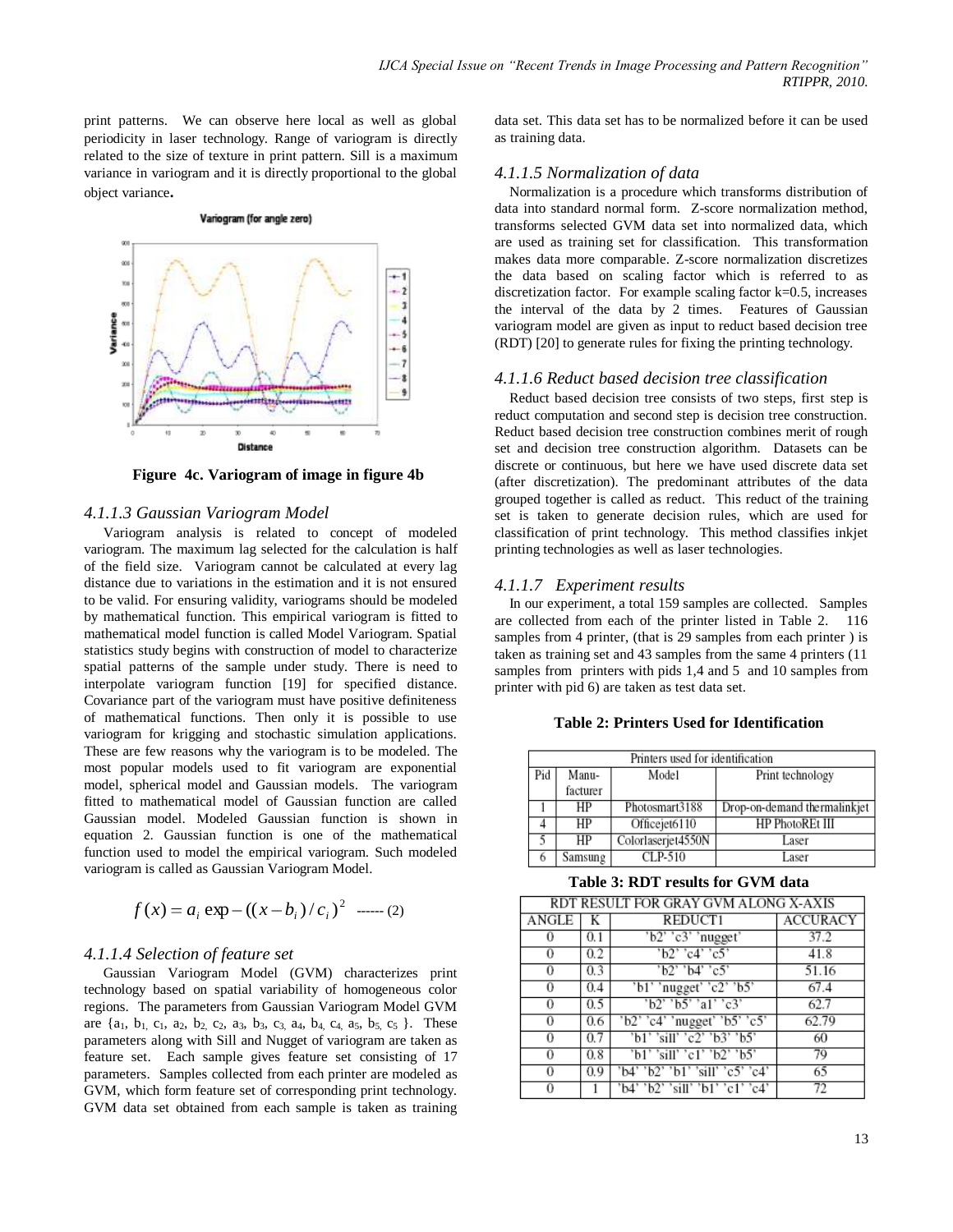print patterns. We can observe here local as well as global periodicity in laser technology. Range of variogram is directly related to the size of texture in print pattern. Sill is a maximum variance in variogram and it is directly proportional to the global object variance**.**

#### Variogram (for angle zero)



**Figure 4c. Variogram of image in figure 4b**

#### *4.1.1.3 Gaussian Variogram Model*

Variogram analysis is related to concept of modeled variogram. The maximum lag selected for the calculation is half of the field size. Variogram cannot be calculated at every lag distance due to variations in the estimation and it is not ensured to be valid. For ensuring validity, variograms should be modeled by mathematical function. This empirical variogram is fitted to mathematical model function is called Model Variogram. Spatial statistics study begins with construction of model to characterize spatial patterns of the sample under study. There is need to interpolate variogram function [19] for specified distance. Covariance part of the variogram must have positive definiteness of mathematical functions. Then only it is possible to use variogram for krigging and stochastic simulation applications. These are few reasons why the variogram is to be modeled. The most popular models used to fit variogram are exponential model, spherical model and Gaussian models. The variogram fitted to mathematical model of Gaussian function are called Gaussian model. Modeled Gaussian function is shown in equation 2. Gaussian function is one of the mathematical function used to model the empirical variogram. Such modeled variogram is called as Gaussian Variogram Model.

$$
f(x) = a_i \exp - ((x - b_i)/c_i)^2
$$
 ...... (2)

#### *4.1.1.4 Selection of feature set*

Gaussian Variogram Model (GVM) characterizes print technology based on spatial variability of homogeneous color regions. The parameters from Gaussian Variogram Model GVM are  $\{a_1, b_1, c_1, a_2, b_2, c_2, a_3, b_3, c_3, a_4, b_4, c_4, a_5, b_5, c_5\}$ . These parameters along with Sill and Nugget of variogram are taken as feature set. Each sample gives feature set consisting of 17 parameters. Samples collected from each printer are modeled as GVM, which form feature set of corresponding print technology. GVM data set obtained from each sample is taken as training

data set. This data set has to be normalized before it can be used as training data.

#### *4.1.1.5 Normalization of data*

 Normalization is a procedure which transforms distribution of data into standard normal form. Z-score normalization method, transforms selected GVM data set into normalized data, which are used as training set for classification. This transformation makes data more comparable. Z-score normalization discretizes the data based on scaling factor which is referred to as discretization factor. For example scaling factor k=0.5, increases the interval of the data by 2 times. Features of Gaussian variogram model are given as input to reduct based decision tree (RDT) [20] to generate rules for fixing the printing technology.

#### *4.1.1.6 Reduct based decision tree classification*

 Reduct based decision tree consists of two steps, first step is reduct computation and second step is decision tree construction. Reduct based decision tree construction combines merit of rough set and decision tree construction algorithm. Datasets can be discrete or continuous, but here we have used discrete data set (after discretization). The predominant attributes of the data grouped together is called as reduct. This reduct of the training set is taken to generate decision rules, which are used for classification of print technology. This method classifies inkjet printing technologies as well as laser technologies.

#### *4.1.1.7 Experiment results*

 In our experiment, a total 159 samples are collected. Samples are collected from each of the printer listed in Table 2. 116 samples from 4 printer, (that is 29 samples from each printer) is taken as training set and 43 samples from the same 4 printers (11 samples from printers with pids 1,4 and 5 and 10 samples from printer with pid 6) are taken as test data set.

#### **Table 2: Printers Used for Identification**

| Printers used for identification |          |                    |                              |  |  |  |  |
|----------------------------------|----------|--------------------|------------------------------|--|--|--|--|
| Pid                              | Manu-    | Model              | Print technology             |  |  |  |  |
|                                  | facturer |                    |                              |  |  |  |  |
|                                  | HP       | Photosmart3188     | Drop-on-demand thermalinkjet |  |  |  |  |
|                                  | HP       | Officejet6110      | HP PhotoREt III              |  |  |  |  |
|                                  | HP       | Colorlaserjet4550N | Laser                        |  |  |  |  |
|                                  | Samsung  | $CLP-510$          | Laser                        |  |  |  |  |

#### **Table 3: RDT results for GVM data**

| RDT RESULT FOR GRAY GVM ALONG X-AXIS |     |                                 |          |  |  |  |  |
|--------------------------------------|-----|---------------------------------|----------|--|--|--|--|
| ANGLE                                |     | REDUCT1                         | ACCURACY |  |  |  |  |
|                                      | 0.1 | $'b2'$ 'c3' 'nugget'            | 37.2     |  |  |  |  |
|                                      | 0.2 | $'b2'$ 'c4' 'c5'                | 41.8     |  |  |  |  |
| 0                                    | 0.3 | 'b2' 'b4' 'c5'                  | 51.16    |  |  |  |  |
| 0                                    | 0.4 | 'b1' 'nugget' 'c2' 'b5'         | 67.4     |  |  |  |  |
| 0                                    | 0.5 | 'b2' 'b5' 'a1' 'c3'             | 62.7     |  |  |  |  |
| 0                                    | 0.6 | $'b2'$ 'c4' 'nugget' 'b5' 'c5'  | 62.79    |  |  |  |  |
| 0                                    | 0.7 | 'b1' 'sill' 'c2' 'b3' 'b5'      | 60       |  |  |  |  |
| 0                                    | 0.8 | 'b1' 'sill' 'c1' 'b2' 'b5'      | 79       |  |  |  |  |
| 0                                    | 0.9 | 'b4' 'b2' 'b1' 'sill' 'c5' 'c4' | 65       |  |  |  |  |
|                                      |     | 'b4' 'b2' 'sill' 'b1' 'c1' 'c4' |          |  |  |  |  |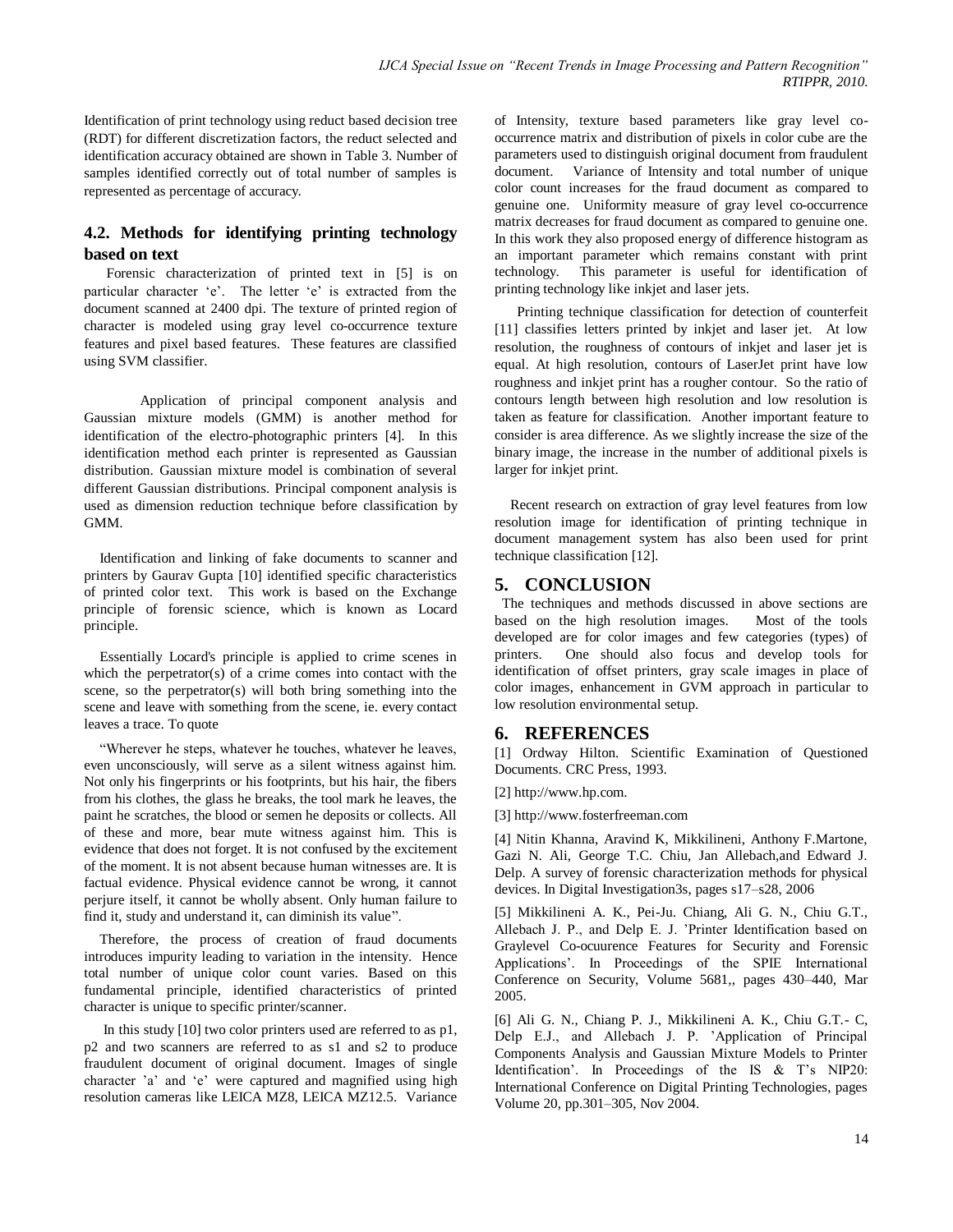Identification of print technology using reduct based decision tree (RDT) for different discretization factors, the reduct selected and identification accuracy obtained are shown in Table 3. Number of samples identified correctly out of total number of samples is represented as percentage of accuracy.

## **4.2. Methods for identifying printing technology based on text**

 Forensic characterization of printed text in [5] is on particular character 'e'. The letter 'e' is extracted from the document scanned at 2400 dpi. The texture of printed region of character is modeled using gray level co-occurrence texture features and pixel based features. These features are classified using SVM classifier.

Application of principal component analysis and Gaussian mixture models (GMM) is another method for identification of the electro-photographic printers [4]. In this identification method each printer is represented as Gaussian distribution. Gaussian mixture model is combination of several different Gaussian distributions. Principal component analysis is used as dimension reduction technique before classification by GMM.

Identification and linking of fake documents to scanner and printers by Gaurav Gupta [10] identified specific characteristics of printed color text. This work is based on the Exchange principle of forensic science, which is known as Locard principle.

Essentially Locard's principle is applied to crime scenes in which the perpetrator(s) of a crime comes into contact with the scene, so the perpetrator(s) will both bring something into the scene and leave with something from the scene, ie. every contact leaves a trace. To quote

"Wherever he steps, whatever he touches, whatever he leaves, even unconsciously, will serve as a silent witness against him. Not only his fingerprints or his footprints, but his hair, the fibers from his clothes, the glass he breaks, the tool mark he leaves, the paint he scratches, the blood or semen he deposits or collects. All of these and more, bear mute witness against him. This is evidence that does not forget. It is not confused by the excitement of the moment. It is not absent because human witnesses are. It is factual evidence. Physical evidence cannot be wrong, it cannot perjure itself, it cannot be wholly absent. Only human failure to find it, study and understand it, can diminish its value".

Therefore, the process of creation of fraud documents introduces impurity leading to variation in the intensity. Hence total number of unique color count varies. Based on this fundamental principle, identified characteristics of printed character is unique to specific printer/scanner.

In this study [10] two color printers used are referred to as p1, p2 and two scanners are referred to as s1 and s2 to produce fraudulent document of original document. Images of single character "a" and "e" were captured and magnified using high resolution cameras like LEICA MZ8, LEICA MZ12.5. Variance

of Intensity, texture based parameters like gray level cooccurrence matrix and distribution of pixels in color cube are the parameters used to distinguish original document from fraudulent document. Variance of Intensity and total number of unique color count increases for the fraud document as compared to genuine one. Uniformity measure of gray level co-occurrence matrix decreases for fraud document as compared to genuine one. In this work they also proposed energy of difference histogram as an important parameter which remains constant with print technology. This parameter is useful for identification of printing technology like inkjet and laser jets.

 Printing technique classification for detection of counterfeit [11] classifies letters printed by inkjet and laser jet. At low resolution, the roughness of contours of inkjet and laser jet is equal. At high resolution, contours of LaserJet print have low roughness and inkjet print has a rougher contour. So the ratio of contours length between high resolution and low resolution is taken as feature for classification. Another important feature to consider is area difference. As we slightly increase the size of the binary image, the increase in the number of additional pixels is larger for inkjet print.

Recent research on extraction of gray level features from low resolution image for identification of printing technique in document management system has also been used for print technique classification [12].

## **5. CONCLUSION**

 The techniques and methods discussed in above sections are based on the high resolution images. Most of the tools developed are for color images and few categories (types) of printers. One should also focus and develop tools for identification of offset printers, gray scale images in place of color images, enhancement in GVM approach in particular to low resolution environmental setup.

## **6. REFERENCES**

[1] Ordway Hilton. Scientific Examination of Questioned Documents. CRC Press, 1993.

[2] http://www.hp.com.

[3] http://www.fosterfreeman.com

[4] Nitin Khanna, Aravind K, Mikkilineni, Anthony F.Martone, Gazi N. Ali, George T.C. Chiu, Jan Allebach,and Edward J. Delp. A survey of forensic characterization methods for physical devices. In Digital Investigation3s, pages s17–s28, 2006

[5] Mikkilineni A. K., Pei-Ju. Chiang, Ali G. N., Chiu G.T., Allebach J. P., and Delp E. J. "Printer Identification based on Graylevel Co-ocuurence Features for Security and Forensic Applications". In Proceedings of the SPIE International Conference on Security, Volume 5681,, pages 430–440, Mar 2005.

[6] Ali G. N., Chiang P. J., Mikkilineni A. K., Chiu G.T.- C, Delp E.J., and Allebach J. P. "Application of Principal Components Analysis and Gaussian Mixture Models to Printer Identification". In Proceedings of the IS & T"s NIP20: International Conference on Digital Printing Technologies, pages Volume 20, pp.301–305, Nov 2004.